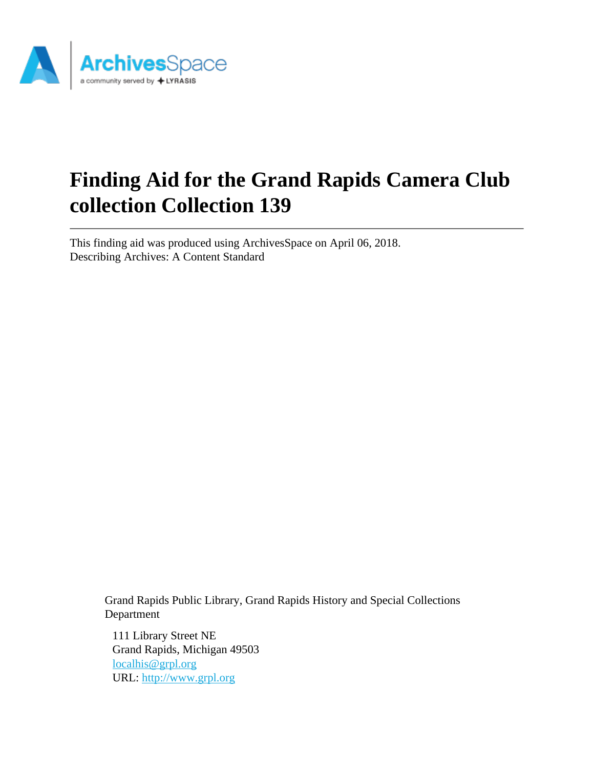

# **Finding Aid for the Grand Rapids Camera Club collection Collection 139**

This finding aid was produced using ArchivesSpace on April 06, 2018. Describing Archives: A Content Standard

> Grand Rapids Public Library, Grand Rapids History and Special Collections Department

111 Library Street NE Grand Rapids, Michigan 49503 [localhis@grpl.org](mailto:localhis@grpl.org) URL:<http://www.grpl.org>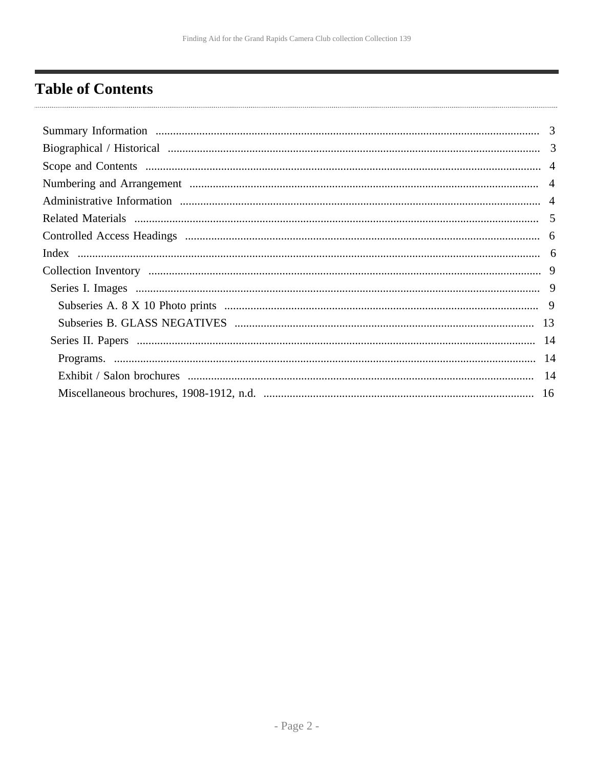# <span id="page-1-0"></span>**Table of Contents**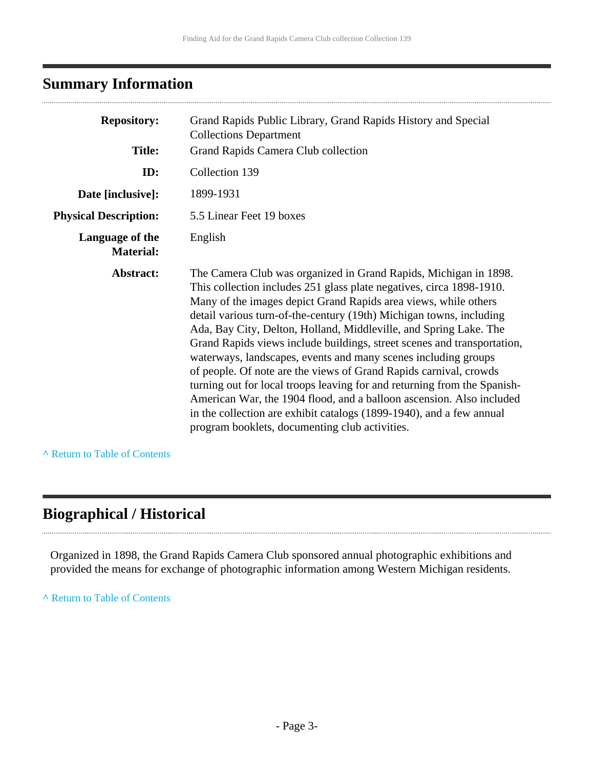# <span id="page-2-0"></span>**Summary Information**

| <b>Repository:</b>                  | Grand Rapids Public Library, Grand Rapids History and Special<br><b>Collections Department</b>                                                                                                                                                                                                                                                                                                                                                                                                                                                                                                                                                                                                                                                                                                                                                          |
|-------------------------------------|---------------------------------------------------------------------------------------------------------------------------------------------------------------------------------------------------------------------------------------------------------------------------------------------------------------------------------------------------------------------------------------------------------------------------------------------------------------------------------------------------------------------------------------------------------------------------------------------------------------------------------------------------------------------------------------------------------------------------------------------------------------------------------------------------------------------------------------------------------|
| <b>Title:</b>                       | Grand Rapids Camera Club collection                                                                                                                                                                                                                                                                                                                                                                                                                                                                                                                                                                                                                                                                                                                                                                                                                     |
| ID:                                 | Collection 139                                                                                                                                                                                                                                                                                                                                                                                                                                                                                                                                                                                                                                                                                                                                                                                                                                          |
| Date [inclusive]:                   | 1899-1931                                                                                                                                                                                                                                                                                                                                                                                                                                                                                                                                                                                                                                                                                                                                                                                                                                               |
| <b>Physical Description:</b>        | 5.5 Linear Feet 19 boxes                                                                                                                                                                                                                                                                                                                                                                                                                                                                                                                                                                                                                                                                                                                                                                                                                                |
| Language of the<br><b>Material:</b> | English                                                                                                                                                                                                                                                                                                                                                                                                                                                                                                                                                                                                                                                                                                                                                                                                                                                 |
| Abstract:                           | The Camera Club was organized in Grand Rapids, Michigan in 1898.<br>This collection includes 251 glass plate negatives, circa 1898-1910.<br>Many of the images depict Grand Rapids area views, while others<br>detail various turn-of-the-century (19th) Michigan towns, including<br>Ada, Bay City, Delton, Holland, Middleville, and Spring Lake. The<br>Grand Rapids views include buildings, street scenes and transportation,<br>waterways, landscapes, events and many scenes including groups<br>of people. Of note are the views of Grand Rapids carnival, crowds<br>turning out for local troops leaving for and returning from the Spanish-<br>American War, the 1904 flood, and a balloon ascension. Also included<br>in the collection are exhibit catalogs (1899-1940), and a few annual<br>program booklets, documenting club activities. |

**^** [Return to Table of Contents](#page-1-0)

## <span id="page-2-1"></span>**Biographical / Historical**

Organized in 1898, the Grand Rapids Camera Club sponsored annual photographic exhibitions and provided the means for exchange of photographic information among Western Michigan residents.

**^** [Return to Table of Contents](#page-1-0)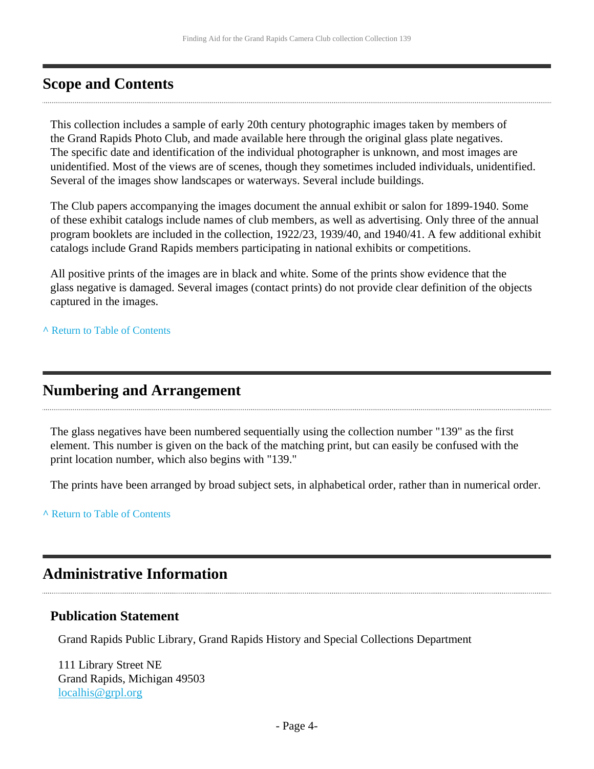### <span id="page-3-0"></span>**Scope and Contents**

This collection includes a sample of early 20th century photographic images taken by members of the Grand Rapids Photo Club, and made available here through the original glass plate negatives. The specific date and identification of the individual photographer is unknown, and most images are unidentified. Most of the views are of scenes, though they sometimes included individuals, unidentified. Several of the images show landscapes or waterways. Several include buildings.

The Club papers accompanying the images document the annual exhibit or salon for 1899-1940. Some of these exhibit catalogs include names of club members, as well as advertising. Only three of the annual program booklets are included in the collection, 1922/23, 1939/40, and 1940/41. A few additional exhibit catalogs include Grand Rapids members participating in national exhibits or competitions.

All positive prints of the images are in black and white. Some of the prints show evidence that the glass negative is damaged. Several images (contact prints) do not provide clear definition of the objects captured in the images.

**^** [Return to Table of Contents](#page-1-0)

### <span id="page-3-1"></span>**Numbering and Arrangement**

The glass negatives have been numbered sequentially using the collection number "139" as the first element. This number is given on the back of the matching print, but can easily be confused with the print location number, which also begins with "139."

The prints have been arranged by broad subject sets, in alphabetical order, rather than in numerical order.

**^** [Return to Table of Contents](#page-1-0)

### <span id="page-3-2"></span>**Administrative Information**

#### **Publication Statement**

Grand Rapids Public Library, Grand Rapids History and Special Collections Department

111 Library Street NE Grand Rapids, Michigan 49503 [localhis@grpl.org](mailto:localhis@grpl.org)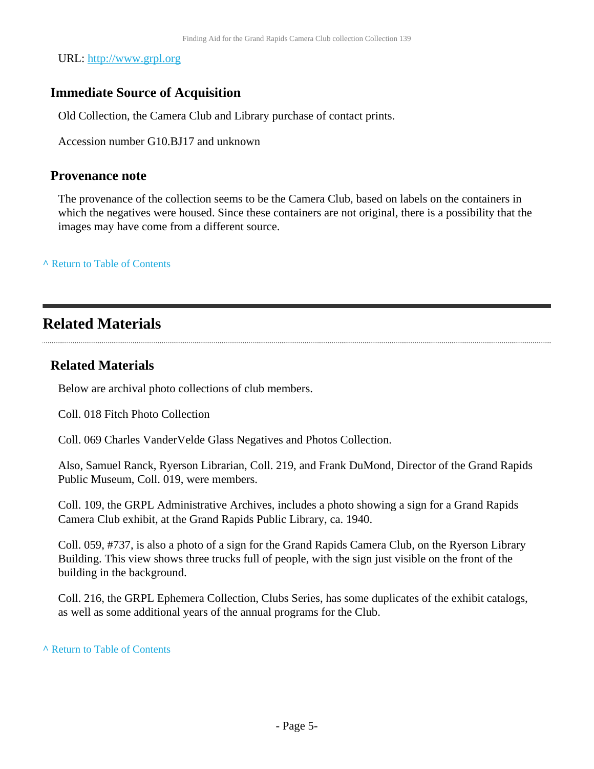URL:<http://www.grpl.org>

### **Immediate Source of Acquisition**

Old Collection, the Camera Club and Library purchase of contact prints.

Accession number G10.BJ17 and unknown

#### **Provenance note**

The provenance of the collection seems to be the Camera Club, based on labels on the containers in which the negatives were housed. Since these containers are not original, there is a possibility that the images may have come from a different source.

**^** [Return to Table of Contents](#page-1-0)

### <span id="page-4-0"></span>**Related Materials**

### **Related Materials**

Below are archival photo collections of club members.

Coll. 018 Fitch Photo Collection

Coll. 069 Charles VanderVelde Glass Negatives and Photos Collection.

Also, Samuel Ranck, Ryerson Librarian, Coll. 219, and Frank DuMond, Director of the Grand Rapids Public Museum, Coll. 019, were members.

Coll. 109, the GRPL Administrative Archives, includes a photo showing a sign for a Grand Rapids Camera Club exhibit, at the Grand Rapids Public Library, ca. 1940.

Coll. 059, #737, is also a photo of a sign for the Grand Rapids Camera Club, on the Ryerson Library Building. This view shows three trucks full of people, with the sign just visible on the front of the building in the background.

Coll. 216, the GRPL Ephemera Collection, Clubs Series, has some duplicates of the exhibit catalogs, as well as some additional years of the annual programs for the Club.

#### **^** [Return to Table of Contents](#page-1-0)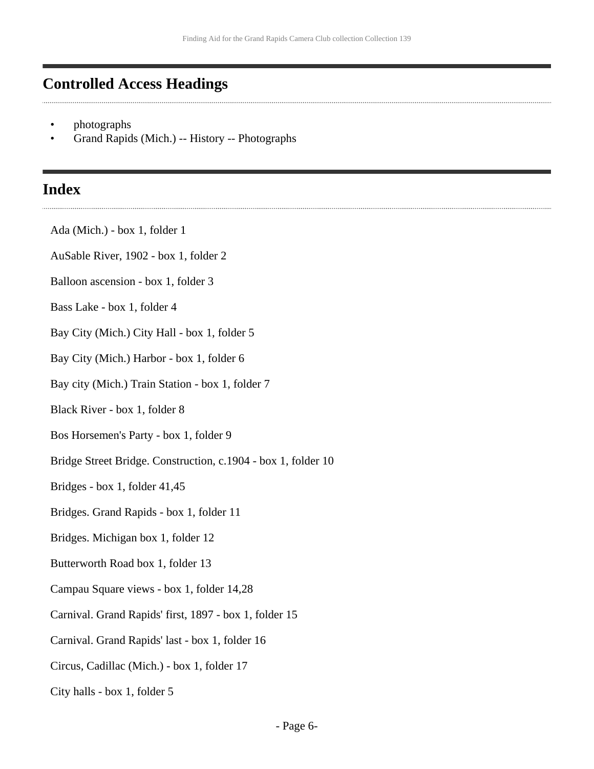# <span id="page-5-0"></span>**Controlled Access Headings**

- photographs
- Grand Rapids (Mich.) -- History -- Photographs

### <span id="page-5-1"></span>**Index**

- Ada (Mich.) box 1, folder 1
- AuSable River, 1902 box 1, folder 2
- Balloon ascension box 1, folder 3
- Bass Lake box 1, folder 4
- Bay City (Mich.) City Hall box 1, folder 5
- Bay City (Mich.) Harbor box 1, folder 6
- Bay city (Mich.) Train Station box 1, folder 7
- Black River box 1, folder 8
- Bos Horsemen's Party box 1, folder 9
- Bridge Street Bridge. Construction, c.1904 box 1, folder 10
- Bridges box 1, folder 41,45
- Bridges. Grand Rapids box 1, folder 11
- Bridges. Michigan box 1, folder 12
- Butterworth Road box 1, folder 13
- Campau Square views box 1, folder 14,28
- Carnival. Grand Rapids' first, 1897 box 1, folder 15
- Carnival. Grand Rapids' last box 1, folder 16
- Circus, Cadillac (Mich.) box 1, folder 17
- City halls box 1, folder 5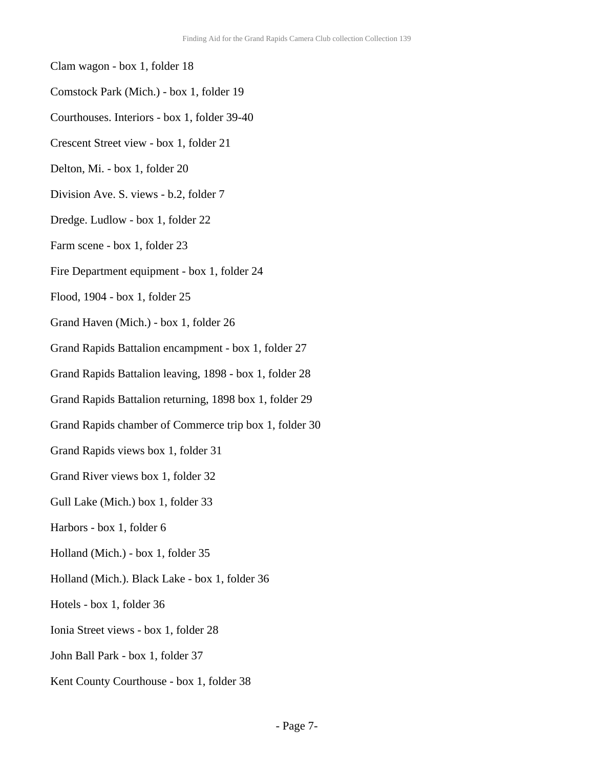- Clam wagon box 1, folder 18
- Comstock Park (Mich.) box 1, folder 19
- Courthouses. Interiors box 1, folder 39-40
- Crescent Street view box 1, folder 21
- Delton, Mi. box 1, folder 20
- Division Ave. S. views b.2, folder 7
- Dredge. Ludlow box 1, folder 22
- Farm scene box 1, folder 23
- Fire Department equipment box 1, folder 24
- Flood, 1904 box 1, folder 25
- Grand Haven (Mich.) box 1, folder 26
- Grand Rapids Battalion encampment box 1, folder 27
- Grand Rapids Battalion leaving, 1898 box 1, folder 28
- Grand Rapids Battalion returning, 1898 box 1, folder 29
- Grand Rapids chamber of Commerce trip box 1, folder 30
- Grand Rapids views box 1, folder 31
- Grand River views box 1, folder 32
- Gull Lake (Mich.) box 1, folder 33
- Harbors box 1, folder 6
- Holland (Mich.) box 1, folder 35
- Holland (Mich.). Black Lake box 1, folder 36
- Hotels box 1, folder 36
- Ionia Street views box 1, folder 28
- John Ball Park box 1, folder 37
- Kent County Courthouse box 1, folder 38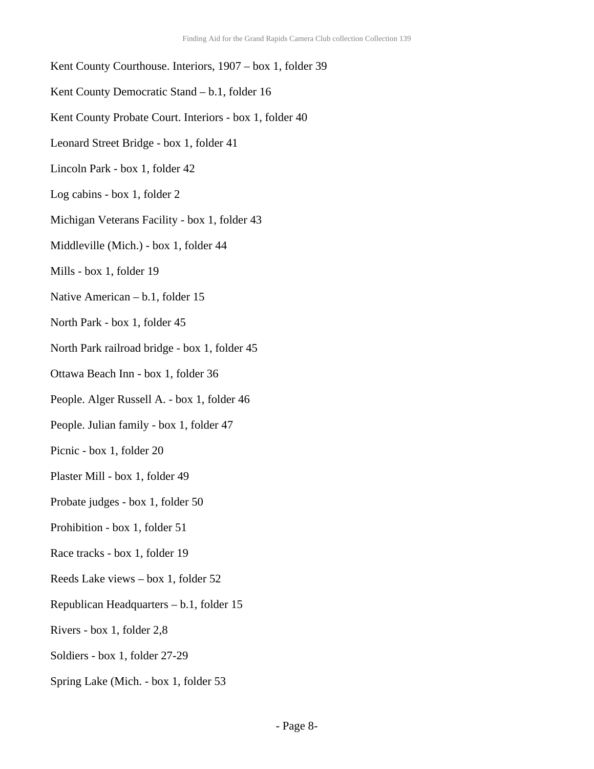- Kent County Courthouse. Interiors, 1907 box 1, folder 39
- Kent County Democratic Stand b.1, folder 16
- Kent County Probate Court. Interiors box 1, folder 40
- Leonard Street Bridge box 1, folder 41
- Lincoln Park box 1, folder 42
- Log cabins box 1, folder 2
- Michigan Veterans Facility box 1, folder 43
- Middleville (Mich.) box 1, folder 44
- Mills box 1, folder 19
- Native American b.1, folder 15
- North Park box 1, folder 45
- North Park railroad bridge box 1, folder 45
- Ottawa Beach Inn box 1, folder 36
- People. Alger Russell A. box 1, folder 46
- People. Julian family box 1, folder 47
- Picnic box 1, folder 20
- Plaster Mill box 1, folder 49
- Probate judges box 1, folder 50
- Prohibition box 1, folder 51
- Race tracks box 1, folder 19
- Reeds Lake views box 1, folder 52
- Republican Headquarters b.1, folder 15
- Rivers box 1, folder 2,8
- Soldiers box 1, folder 27-29
- Spring Lake (Mich. box 1, folder 53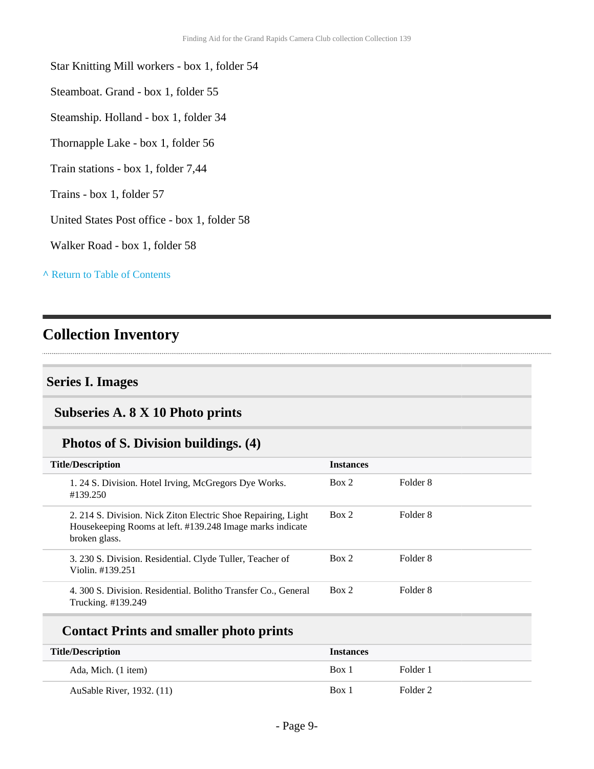#### Star Knitting Mill workers - box 1, folder 54

- Steamboat. Grand box 1, folder 55
- Steamship. Holland box 1, folder 34
- Thornapple Lake box 1, folder 56
- Train stations box 1, folder 7,44
- Trains box 1, folder 57
- United States Post office box 1, folder 58
- Walker Road box 1, folder 58

**^** [Return to Table of Contents](#page-1-0)

### <span id="page-8-0"></span>**Collection Inventory**

### <span id="page-8-1"></span>**Series I. Images**

## <span id="page-8-2"></span>**Subseries A. 8 X 10 Photo prints**

#### **Photos of S. Division buildings. (4)**

| <b>Title/Description</b> |                                                                                                                                             | <b>Instances</b> |          |
|--------------------------|---------------------------------------------------------------------------------------------------------------------------------------------|------------------|----------|
|                          | 1. 24 S. Division. Hotel Irving, McGregors Dye Works.<br>#139.250                                                                           | Box 2            | Folder 8 |
|                          | 2. 214 S. Division. Nick Ziton Electric Shoe Repairing, Light<br>Housekeeping Rooms at left. #139.248 Image marks indicate<br>broken glass. | Box 2            | Folder 8 |
|                          | 3. 230 S. Division. Residential. Clyde Tuller, Teacher of<br>Violin. #139.251                                                               | Box 2            | Folder 8 |
|                          | 4. 300 S. Division. Residential. Bolitho Transfer Co., General<br>Trucking. #139.249                                                        | Box 2            | Folder 8 |

#### **Contact Prints and smaller photo prints**

| <b>Title/Description</b>  | <b>Instances</b> |          |
|---------------------------|------------------|----------|
| Ada, Mich. (1 item)       | Box 1            | Folder 1 |
| AuSable River, 1932. (11) | Box 1            | Folder 2 |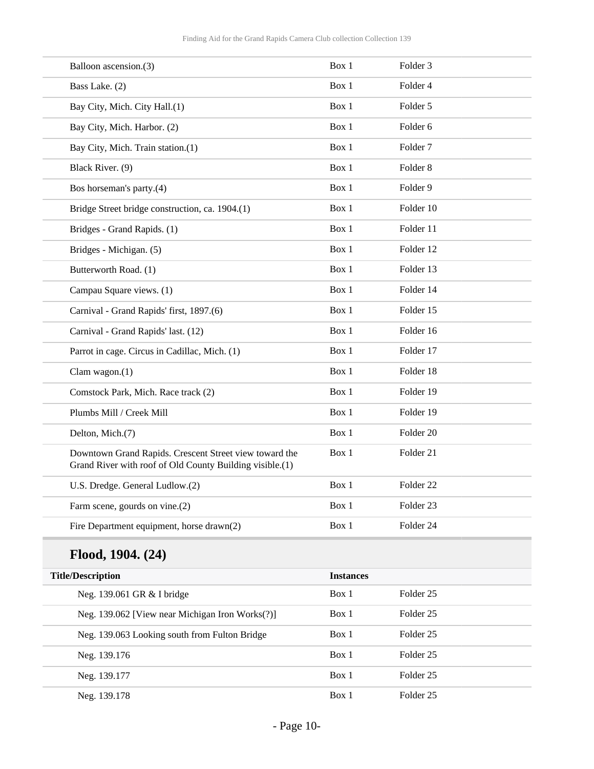| Balloon ascension.(3)                                                                                              | Box 1            | Folder <sub>3</sub>  |
|--------------------------------------------------------------------------------------------------------------------|------------------|----------------------|
| Bass Lake. (2)                                                                                                     | Box 1            | Folder 4             |
| Bay City, Mich. City Hall.(1)                                                                                      | Box 1            | Folder 5             |
| Bay City, Mich. Harbor. (2)                                                                                        | Box 1            | Folder <sub>6</sub>  |
| Bay City, Mich. Train station.(1)                                                                                  | Box 1            | Folder <sub>7</sub>  |
| Black River. (9)                                                                                                   | Box 1            | Folder <sub>8</sub>  |
| Bos horseman's party.(4)                                                                                           | Box 1            | Folder 9             |
| Bridge Street bridge construction, ca. 1904.(1)                                                                    | Box 1            | Folder 10            |
| Bridges - Grand Rapids. (1)                                                                                        | Box 1            | Folder 11            |
| Bridges - Michigan. (5)                                                                                            | Box 1            | Folder 12            |
| Butterworth Road. (1)                                                                                              | Box 1            | Folder 13            |
| Campau Square views. (1)                                                                                           | Box 1            | Folder 14            |
| Carnival - Grand Rapids' first, 1897.(6)                                                                           | Box 1            | Folder 15            |
| Carnival - Grand Rapids' last. (12)                                                                                | Box 1            | Folder 16            |
| Parrot in cage. Circus in Cadillac, Mich. (1)                                                                      | Box 1            | Folder 17            |
| Clam wagon. $(1)$                                                                                                  | Box 1            | Folder 18            |
| Comstock Park, Mich. Race track (2)                                                                                | Box 1            | Folder 19            |
| Plumbs Mill / Creek Mill                                                                                           | Box 1            | Folder 19            |
| Delton, Mich.(7)                                                                                                   | Box 1            | Folder 20            |
| Downtown Grand Rapids. Crescent Street view toward the<br>Grand River with roof of Old County Building visible.(1) | Box 1            | Folder 21            |
| U.S. Dredge. General Ludlow.(2)                                                                                    | Box 1            | Folder <sub>22</sub> |
| Farm scene, gourds on vine.(2)                                                                                     | Box 1            | Folder <sub>23</sub> |
| Fire Department equipment, horse drawn(2)                                                                          | Box 1            | Folder 24            |
| Flood, 1904. (24)                                                                                                  |                  |                      |
| <b>Title/Description</b>                                                                                           | <b>Instances</b> |                      |
| Neg. 139.061 GR & I bridge                                                                                         | Box 1            | Folder 25            |
| Neg. 139.062 [View near Michigan Iron Works(?)]                                                                    | Box 1            | Folder 25            |
| Neg. 139.063 Looking south from Fulton Bridge                                                                      | Box 1            | Folder 25            |
| Neg. 139.176                                                                                                       | Box 1            | Folder 25            |
| Neg. 139.177                                                                                                       | Box 1            | Folder 25            |

Neg. 139.178 Box 1 Folder 25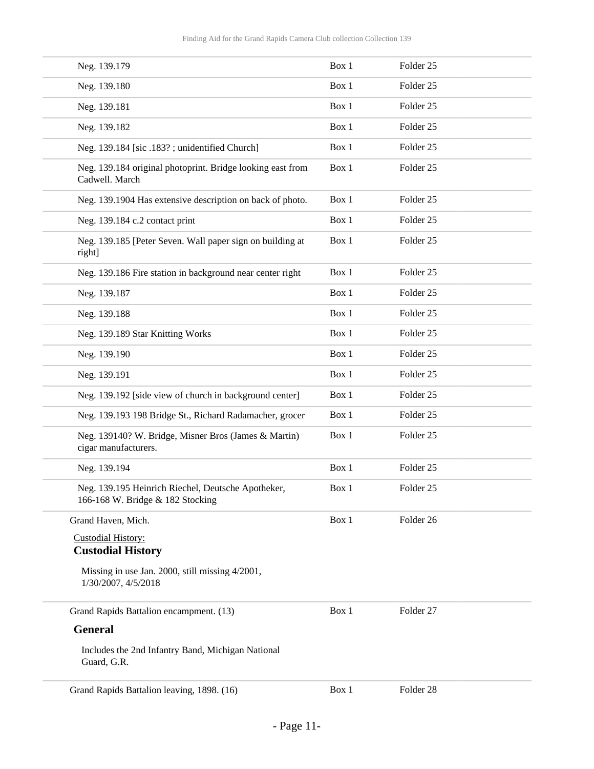| Neg. 139.179                                                                           | Box 1 | Folder <sub>25</sub> |  |
|----------------------------------------------------------------------------------------|-------|----------------------|--|
| Neg. 139.180                                                                           | Box 1 | Folder <sub>25</sub> |  |
| Neg. 139.181                                                                           | Box 1 | Folder <sub>25</sub> |  |
| Neg. 139.182                                                                           | Box 1 | Folder <sub>25</sub> |  |
| Neg. 139.184 [sic .183?; unidentified Church]                                          | Box 1 | Folder <sub>25</sub> |  |
| Neg. 139.184 original photoprint. Bridge looking east from<br>Cadwell. March           | Box 1 | Folder 25            |  |
| Neg. 139.1904 Has extensive description on back of photo.                              | Box 1 | Folder <sub>25</sub> |  |
| Neg. 139.184 c.2 contact print                                                         | Box 1 | Folder <sub>25</sub> |  |
| Neg. 139.185 [Peter Seven. Wall paper sign on building at<br>right]                    | Box 1 | Folder <sub>25</sub> |  |
| Neg. 139.186 Fire station in background near center right                              | Box 1 | Folder <sub>25</sub> |  |
| Neg. 139.187                                                                           | Box 1 | Folder <sub>25</sub> |  |
| Neg. 139.188                                                                           | Box 1 | Folder <sub>25</sub> |  |
| Neg. 139.189 Star Knitting Works                                                       | Box 1 | Folder <sub>25</sub> |  |
| Neg. 139.190                                                                           | Box 1 | Folder <sub>25</sub> |  |
| Neg. 139.191                                                                           | Box 1 | Folder <sub>25</sub> |  |
| Neg. 139.192 [side view of church in background center]                                | Box 1 | Folder <sub>25</sub> |  |
| Neg. 139.193 198 Bridge St., Richard Radamacher, grocer                                | Box 1 | Folder <sub>25</sub> |  |
| Neg. 139140? W. Bridge, Misner Bros (James & Martin)<br>cigar manufacturers.           | Box 1 | Folder 25            |  |
| Neg. 139.194                                                                           | Box 1 | Folder <sub>25</sub> |  |
| Neg. 139.195 Heinrich Riechel, Deutsche Apotheker,<br>166-168 W. Bridge & 182 Stocking | Box 1 | Folder 25            |  |
| Grand Haven, Mich.                                                                     | Box 1 | Folder 26            |  |
| <b>Custodial History:</b><br><b>Custodial History</b>                                  |       |                      |  |
| Missing in use Jan. 2000, still missing 4/2001,<br>1/30/2007, 4/5/2018                 |       |                      |  |
| Grand Rapids Battalion encampment. (13)                                                | Box 1 | Folder 27            |  |
| <b>General</b>                                                                         |       |                      |  |
| Includes the 2nd Infantry Band, Michigan National<br>Guard, G.R.                       |       |                      |  |
| Grand Rapids Battalion leaving, 1898. (16)                                             | Box 1 | Folder 28            |  |

- Page 11-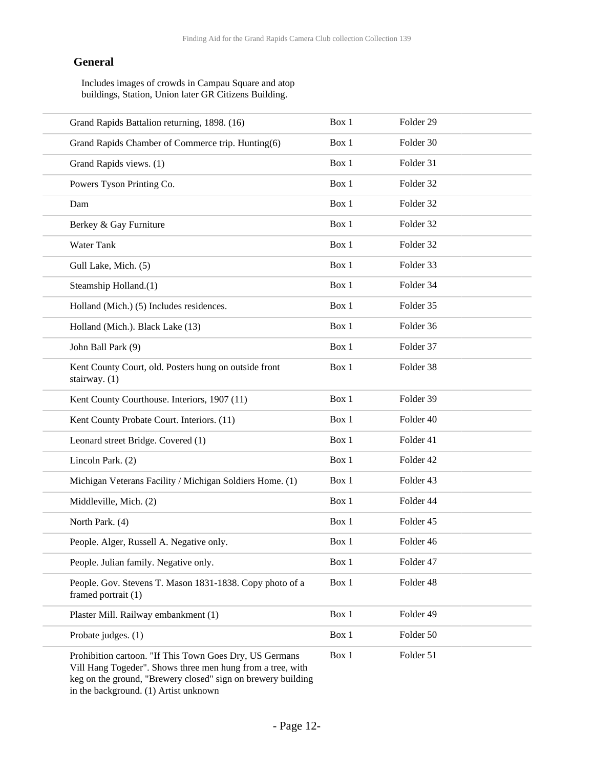#### **General**

Includes images of crowds in Campau Square and atop buildings, Station, Union later GR Citizens Building.

| Grand Rapids Battalion returning, 1898. (16)                                                                          | Box 1 | Folder 29 |  |
|-----------------------------------------------------------------------------------------------------------------------|-------|-----------|--|
| Grand Rapids Chamber of Commerce trip. Hunting(6)                                                                     | Box 1 | Folder 30 |  |
| Grand Rapids views. (1)                                                                                               | Box 1 | Folder 31 |  |
| Powers Tyson Printing Co.                                                                                             | Box 1 | Folder 32 |  |
| Dam                                                                                                                   | Box 1 | Folder 32 |  |
| Berkey & Gay Furniture                                                                                                | Box 1 | Folder 32 |  |
| Water Tank                                                                                                            | Box 1 | Folder 32 |  |
| Gull Lake, Mich. (5)                                                                                                  | Box 1 | Folder 33 |  |
| Steamship Holland.(1)                                                                                                 | Box 1 | Folder 34 |  |
| Holland (Mich.) (5) Includes residences.                                                                              | Box 1 | Folder 35 |  |
| Holland (Mich.). Black Lake (13)                                                                                      | Box 1 | Folder 36 |  |
| John Ball Park (9)                                                                                                    | Box 1 | Folder 37 |  |
| Kent County Court, old. Posters hung on outside front<br>stairway. (1)                                                | Box 1 | Folder 38 |  |
| Kent County Courthouse. Interiors, 1907 (11)                                                                          | Box 1 | Folder 39 |  |
| Kent County Probate Court. Interiors. (11)                                                                            | Box 1 | Folder 40 |  |
| Leonard street Bridge. Covered (1)                                                                                    | Box 1 | Folder 41 |  |
| Lincoln Park. (2)                                                                                                     | Box 1 | Folder 42 |  |
| Michigan Veterans Facility / Michigan Soldiers Home. (1)                                                              | Box 1 | Folder 43 |  |
| Middleville, Mich. (2)                                                                                                | Box 1 | Folder 44 |  |
| North Park. (4)                                                                                                       | Box 1 | Folder 45 |  |
| People. Alger, Russell A. Negative only.                                                                              | Box 1 | Folder 46 |  |
| People. Julian family. Negative only.                                                                                 | Box 1 | Folder 47 |  |
| People. Gov. Stevens T. Mason 1831-1838. Copy photo of a<br>framed portrait (1)                                       | Box 1 | Folder 48 |  |
| Plaster Mill. Railway embankment (1)                                                                                  | Box 1 | Folder 49 |  |
| Probate judges. (1)                                                                                                   | Box 1 | Folder 50 |  |
| Prohibition cartoon. "If This Town Goes Dry, US Germans<br>Vill Hang Togeder". Shows three men hung from a tree, with | Box 1 | Folder 51 |  |

keg on the ground, "Brewery closed" sign on brewery building in the background. (1) Artist unknown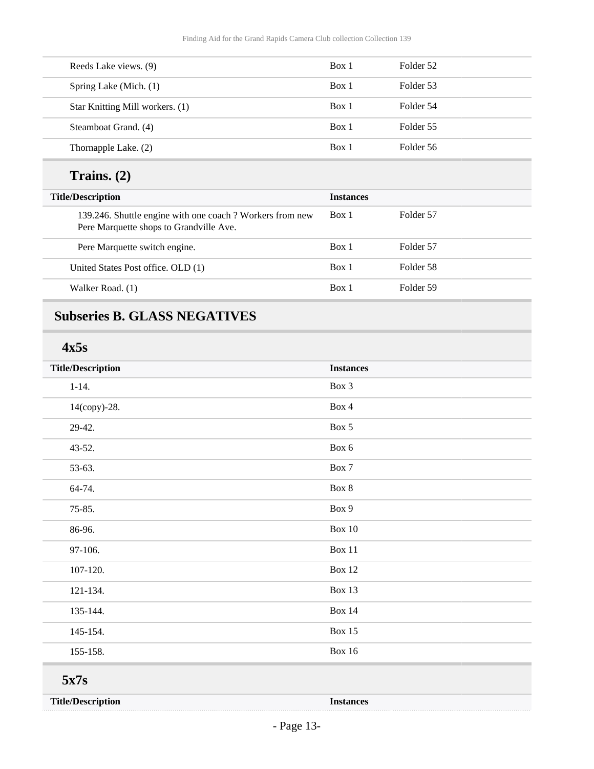| Reeds Lake views. (9)           | Box 1 | Folder 52 |
|---------------------------------|-------|-----------|
| Spring Lake (Mich. (1)          | Box 1 | Folder 53 |
| Star Knitting Mill workers. (1) | Box 1 | Folder 54 |
| Steamboat Grand. (4)            | Box 1 | Folder 55 |
| Thornapple Lake. (2)            | Box 1 | Folder 56 |
|                                 |       |           |

# **Trains. (2)**

| <b>Title/Description</b>                                                                            | <b>Instances</b> |           |
|-----------------------------------------------------------------------------------------------------|------------------|-----------|
| 139.246. Shuttle engine with one coach? Workers from new<br>Pere Marquette shops to Grandville Ave. | Box 1            | Folder 57 |
| Pere Marquette switch engine.                                                                       | Box 1            | Folder 57 |
| United States Post office. OLD (1)                                                                  | Box 1            | Folder 58 |
| Walker Road. (1)                                                                                    | Box 1            | Folder 59 |
|                                                                                                     |                  |           |

# <span id="page-12-0"></span>**Subseries B. GLASS NEGATIVES**

**4x5s**

| <b>Title/Description</b> | <b>Instances</b> |
|--------------------------|------------------|
| $1 - 14.$                | Box 3            |
| 14(copy)-28.             | Box 4            |
| 29-42.                   | Box 5            |
| 43-52.                   | Box 6            |
| 53-63.                   | Box 7            |
| 64-74.                   | Box 8            |
| 75-85.                   | Box 9            |
| 86-96.                   | Box $10$         |
| 97-106.                  | Box 11           |
| 107-120.                 | <b>Box 12</b>    |
| 121-134.                 | <b>Box 13</b>    |
| 135-144.                 | <b>Box 14</b>    |
| 145-154.                 | <b>Box 15</b>    |
| 155-158.                 | <b>Box 16</b>    |
| 5x7s                     |                  |
| <b>Title/Description</b> | <b>Instances</b> |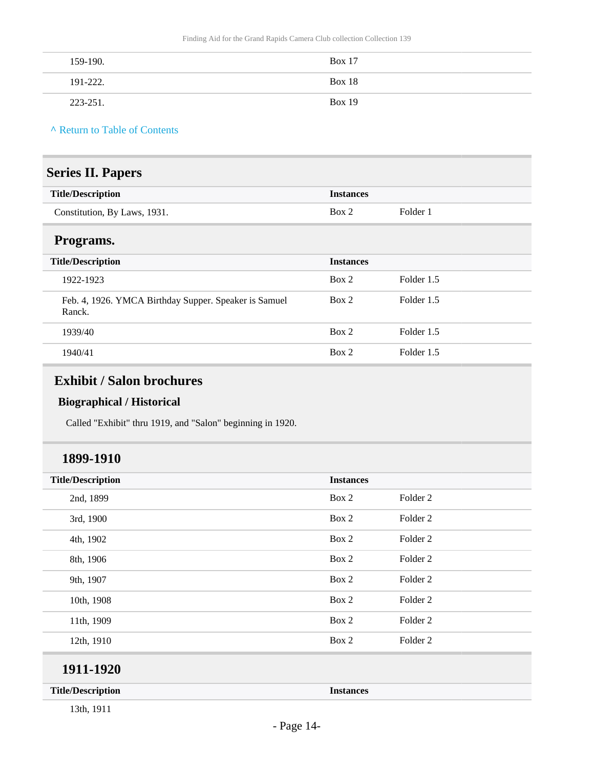| 159-190. | Box 17        |
|----------|---------------|
| 191-222. | <b>Box 18</b> |
| 223-251. | Box 19        |

#### **^** [Return to Table of Contents](#page-1-0)

<span id="page-13-1"></span><span id="page-13-0"></span>

| <b>Series II. Papers</b>                                        |                  |            |  |  |
|-----------------------------------------------------------------|------------------|------------|--|--|
| <b>Title/Description</b>                                        | <b>Instances</b> |            |  |  |
| Constitution, By Laws, 1931.                                    | Box 2            | Folder 1   |  |  |
| Programs.                                                       |                  |            |  |  |
| <b>Title/Description</b>                                        | <b>Instances</b> |            |  |  |
| 1922-1923                                                       | Box 2            | Folder 1.5 |  |  |
| Feb. 4, 1926. YMCA Birthday Supper. Speaker is Samuel<br>Ranck. | Box 2            | Folder 1.5 |  |  |
| 1939/40                                                         | Box 2            | Folder 1.5 |  |  |
| 1940/41                                                         | Box 2            | Folder 1.5 |  |  |

# <span id="page-13-2"></span>**Exhibit / Salon brochures**

#### **Biographical / Historical**

Called "Exhibit" thru 1919, and "Salon" beginning in 1920.

### **1899-1910**

| <b>Title/Description</b> | <b>Instances</b> |                     |
|--------------------------|------------------|---------------------|
| 2nd, 1899                | Box 2            | Folder 2            |
| 3rd, 1900                | Box 2            | Folder 2            |
| 4th, 1902                | Box 2            | Folder <sub>2</sub> |
| 8th, 1906                | Box 2            | Folder 2            |
| 9th, 1907                | Box 2            | Folder <sub>2</sub> |
| 10th, 1908               | Box 2            | Folder <sub>2</sub> |
| 11th, 1909               | Box 2            | Folder 2            |
| 12th, 1910               | Box 2            | Folder <sub>2</sub> |
| 1911-1920                |                  |                     |
| <b>Title/Description</b> | <b>Instances</b> |                     |

13th, 1911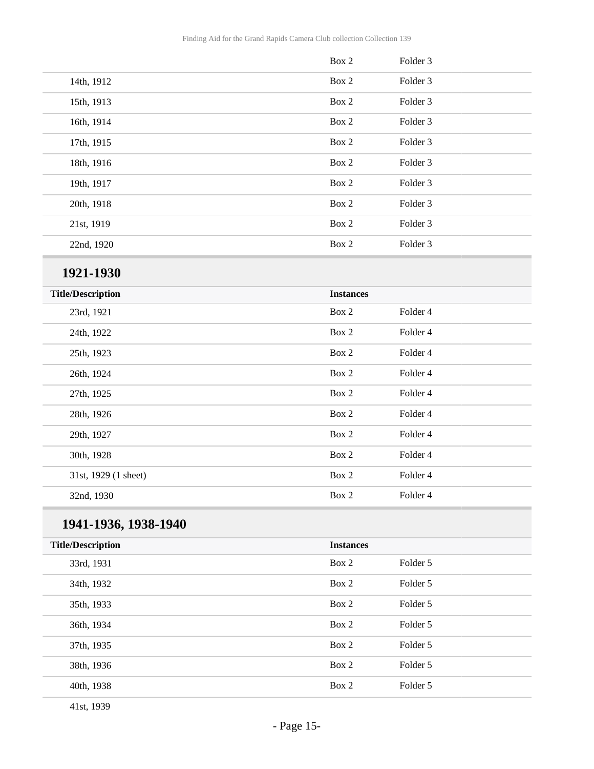|            | Box 2 | Folder <sub>3</sub> |
|------------|-------|---------------------|
| 14th, 1912 | Box 2 | Folder 3            |
| 15th, 1913 | Box 2 | Folder <sub>3</sub> |
| 16th, 1914 | Box 2 | Folder 3            |
| 17th, 1915 | Box 2 | Folder 3            |
| 18th, 1916 | Box 2 | Folder <sub>3</sub> |
| 19th, 1917 | Box 2 | Folder 3            |
| 20th, 1918 | Box 2 | Folder <sub>3</sub> |
| 21st, 1919 | Box 2 | Folder 3            |
| 22nd, 1920 | Box 2 | Folder 3            |

### **1921-1930**

| <b>Title/Description</b> | <b>Instances</b> |          |
|--------------------------|------------------|----------|
| 23rd, 1921               | Box 2            | Folder 4 |
| 24th, 1922               | Box 2            | Folder 4 |
| 25th, 1923               | Box 2            | Folder 4 |
| 26th, 1924               | Box 2            | Folder 4 |
| 27th, 1925               | Box 2            | Folder 4 |
| 28th, 1926               | Box 2            | Folder 4 |
| 29th, 1927               | Box 2            | Folder 4 |
| 30th, 1928               | Box 2            | Folder 4 |
| 31st, 1929 (1 sheet)     | Box 2            | Folder 4 |
| 32nd, 1930               | Box 2            | Folder 4 |

# **1941-1936, 1938-1940**

| <b>Title/Description</b> | <b>Instances</b> |          |  |
|--------------------------|------------------|----------|--|
| 33rd, 1931               | Box 2            | Folder 5 |  |
| 34th, 1932               | Box 2            | Folder 5 |  |
| 35th, 1933               | Box 2            | Folder 5 |  |
| 36th, 1934               | Box 2            | Folder 5 |  |
| 37th, 1935               | Box 2            | Folder 5 |  |
| 38th, 1936               | Box 2            | Folder 5 |  |
| 40th, 1938               | Box 2            | Folder 5 |  |
|                          |                  |          |  |

41st, 1939